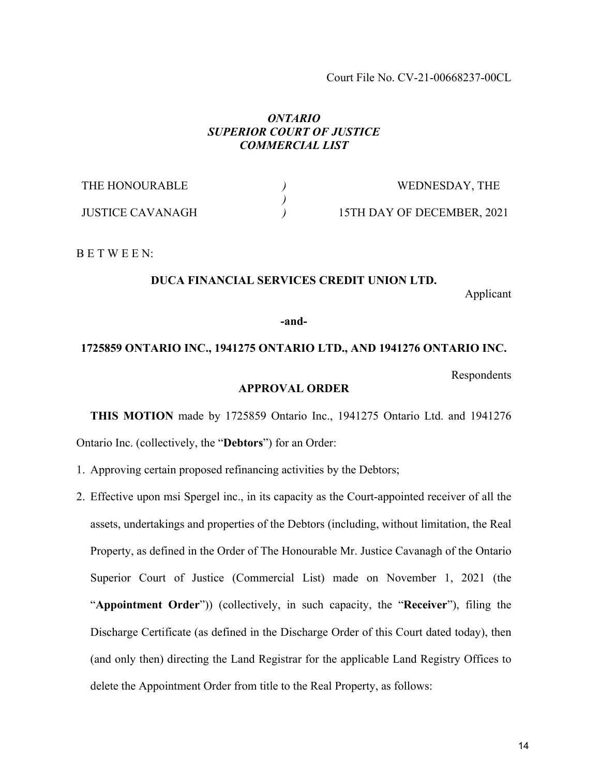Court File No. CV-21-00668237-00CL

## *ONTARIO SUPERIOR COURT OF JUSTICE COMMERCIAL LIST*

| THE HONOURABLE          | WEDNESDAY, THE             |
|-------------------------|----------------------------|
|                         |                            |
| <b>JUSTICE CAVANAGH</b> | 15TH DAY OF DECEMBER, 2021 |

B E T W E E N:

## **DUCA FINANCIAL SERVICES CREDIT UNION LTD.**

Applicant

**-and-**

## **1725859 ONTARIO INC., 1941275 ONTARIO LTD., AND 1941276 ONTARIO INC.**

Respondents

## **APPROVAL ORDER**

**THIS MOTION** made by 1725859 Ontario Inc., 1941275 Ontario Ltd. and 1941276 Ontario Inc. (collectively, the "**Debtors**") for an Order:

- 1. Approving certain proposed refinancing activities by the Debtors;
- 2. Effective upon msi Spergel inc., in its capacity as the Court-appointed receiver of all the assets, undertakings and properties of the Debtors (including, without limitation, the Real Property, as defined in the Order of The Honourable Mr. Justice Cavanagh of the Ontario Superior Court of Justice (Commercial List) made on November 1, 2021 (the "**Appointment Order**")) (collectively, in such capacity, the "**Receiver**"), filing the Discharge Certificate (as defined in the Discharge Order of this Court dated today), then (and only then) directing the Land Registrar for the applicable Land Registry Offices to delete the Appointment Order from title to the Real Property, as follows: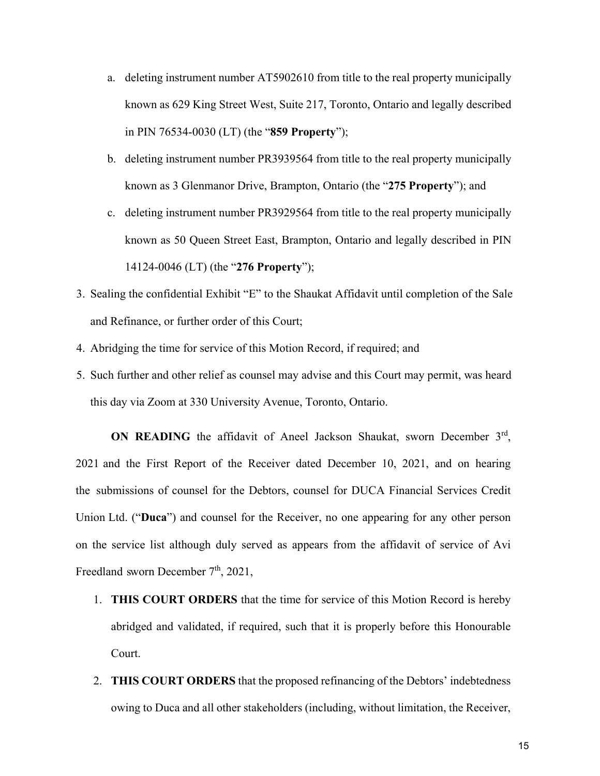- a. deleting instrument number AT5902610 from title to the real property municipally known as 629 King Street West, Suite 217, Toronto, Ontario and legally described in PIN 76534-0030 (LT) (the "**859 Property**");
- b. deleting instrument number PR3939564 from title to the real property municipally known as 3 Glenmanor Drive, Brampton, Ontario (the "**275 Property**"); and
- c. deleting instrument number PR3929564 from title to the real property municipally known as 50 Queen Street East, Brampton, Ontario and legally described in PIN 14124-0046 (LT) (the "**276 Property**");
- 3. Sealing the confidential Exhibit "E" to the Shaukat Affidavit until completion of the Sale and Refinance, or further order of this Court;
- 4. Abridging the time for service of this Motion Record, if required; and
- 5. Such further and other relief as counsel may advise and this Court may permit, was heard this day via Zoom at 330 University Avenue, Toronto, Ontario.

ON READING the affidavit of Aneel Jackson Shaukat, sworn December 3<sup>rd</sup>, 2021 and the First Report of the Receiver dated December 10, 2021, and on hearing the submissions of counsel for the Debtors, counsel for DUCA Financial Services Credit Union Ltd. ("**Duca**") and counsel for the Receiver, no one appearing for any other person on the service list although duly served as appears from the affidavit of service of Avi Freedland sworn December  $7<sup>th</sup>$ , 2021,

- 1. **THIS COURT ORDERS** that the time for service of this Motion Record is hereby abridged and validated, if required, such that it is properly before this Honourable Court.
- 2. **THIS COURT ORDERS** that the proposed refinancing of the Debtors' indebtedness owing to Duca and all other stakeholders (including, without limitation, the Receiver,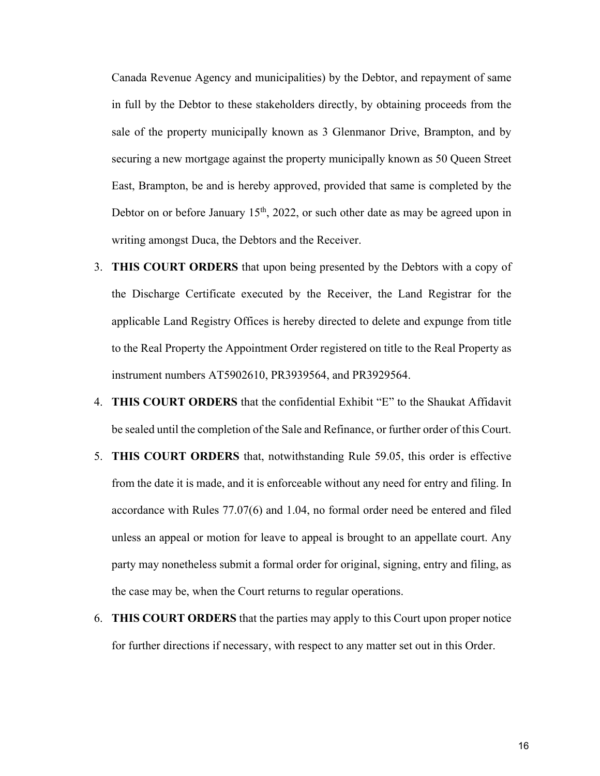Canada Revenue Agency and municipalities) by the Debtor, and repayment of same in full by the Debtor to these stakeholders directly, by obtaining proceeds from the sale of the property municipally known as 3 Glenmanor Drive, Brampton, and by securing a new mortgage against the property municipally known as 50 Queen Street East, Brampton, be and is hereby approved, provided that same is completed by the Debtor on or before January  $15<sup>th</sup>$ , 2022, or such other date as may be agreed upon in writing amongst Duca, the Debtors and the Receiver.

- 3. **THIS COURT ORDERS** that upon being presented by the Debtors with a copy of the Discharge Certificate executed by the Receiver, the Land Registrar for the applicable Land Registry Offices is hereby directed to delete and expunge from title to the Real Property the Appointment Order registered on title to the Real Property as instrument numbers AT5902610, PR3939564, and PR3929564.
- 4. **THIS COURT ORDERS** that the confidential Exhibit "E" to the Shaukat Affidavit be sealed until the completion of the Sale and Refinance, or further order of this Court.
- 5. **THIS COURT ORDERS** that, notwithstanding Rule 59.05, this order is effective from the date it is made, and it is enforceable without any need for entry and filing. In accordance with Rules 77.07(6) and 1.04, no formal order need be entered and filed unless an appeal or motion for leave to appeal is brought to an appellate court. Any party may nonetheless submit a formal order for original, signing, entry and filing, as the case may be, when the Court returns to regular operations.
- 6. **THIS COURT ORDERS** that the parties may apply to this Court upon proper notice for further directions if necessary, with respect to any matter set out in this Order.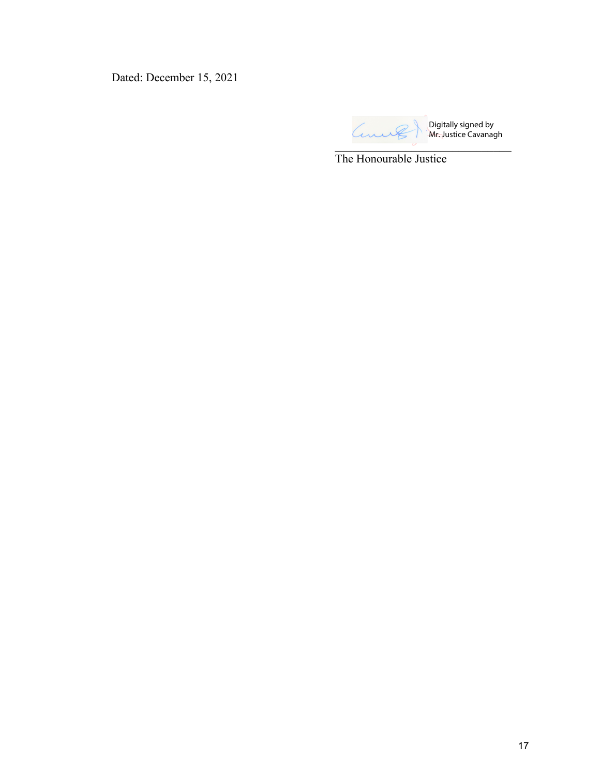Dated: December 15, 2021

an  $\overline{\phantom{a}}$ 

Digitally signed by Mr. Justice Cavanagh

The Honourable Justice